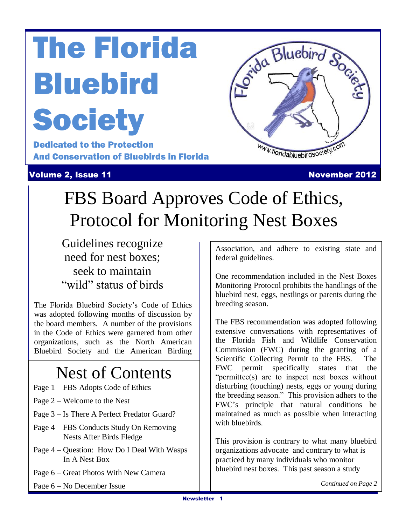# The Florida **Bluebird Society**

De<br>Al Dedicated to the Protection And Conservation of Bluebirds in Florida

**Volume 2, Issue 11 November 2012** 



## FBS Board Approves Code of Ethics, Protocol for Monitoring Nest Boxes

Guidelines recognize need for nest boxes; seek to maintain "wild" status of birds

The Florida Bluebird Society's Code of Ethics was adopted following months of discussion by the board members. A number of the provisions in the Code of Ethics were garnered from other organizations, such as the North American Bluebird Society and the American Birding

### Nest of Contents

- Page 1 FBS Adopts Code of Ethics
- Page 2 Welcome to the Nest
- Page 3 Is There A Perfect Predator Guard?
- Page 4 FBS Conducts Study On Removing Nests After Birds Fledge
- Page 4 Question: How Do I Deal With Wasps In A Nest Box
- Page 6 Great Photos With New Camera

Page 6 – No December Issue

Association, and adhere to existing state and federal guidelines.

One recommendation included in the Nest Boxes Monitoring Protocol prohibits the handlings of the bluebird nest, eggs, nestlings or parents during the breeding season.

The FBS recommendation was adopted following extensive conversations with representatives of the Florida Fish and Wildlife Conservation Commission (FWC) during the granting of a Scientific Collecting Permit to the FBS. The FWC permit specifically states that the "permittee(s) are to inspect nest boxes without disturbing (touching) nests, eggs or young during the breeding season." This provision adhers to the FWC's principle that natural conditions be maintained as much as possible when interacting with bluebirds.

This provision is contrary to what many bluebird organizations advocate and contrary to what is practiced by many individuals who monitor bluebird nest boxes. This past season a study

*Continued on Page 2*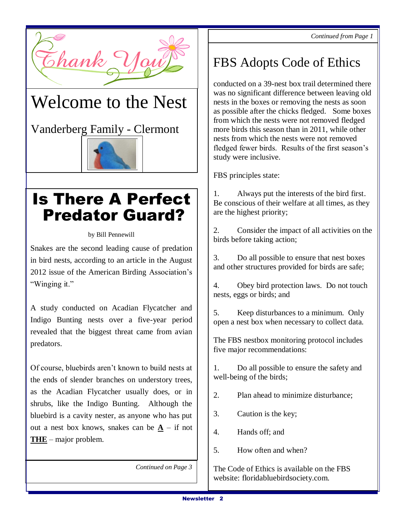

### Welcome to the Nest

Vanderberg Family - Clermont



### Is There A Perfect Predator Guard?

by Bill Pennewill

Snakes are the second leading cause of predation in bird nests, according to an article in the August 2012 issue of the American Birding Association's "Winging it."

A study conducted on Acadian Flycatcher and Indigo Bunting nests over a five-year period revealed that the biggest threat came from avian predators.

Of course, bluebirds aren't known to build nests at the ends of slender branches on understory trees, as the Acadian Flycatcher usually does, or in shrubs, like the Indigo Bunting. Although the bluebird is a cavity nester, as anyone who has put out a nest box knows, snakes can be  $\underline{A}$  – if not **THE** – major problem.

*Continued on Page 3*

### FBS Adopts Code of Ethics

conducted on a 39-nest box trail determined there was no significant difference between leaving old nests in the boxes or removing the nests as soon as possible after the chicks fledged. Some boxes from which the nests were not removed fledged more birds this season than in 2011, while other nests from which the nests were not removed fledged fewer birds. Results of the first season's study were inclusive.

FBS principles state:

1. Always put the interests of the bird first. Be conscious of their welfare at all times, as they are the highest priority;

2. Consider the impact of all activities on the birds before taking action;

3. Do all possible to ensure that nest boxes and other structures provided for birds are safe;

4. Obey bird protection laws. Do not touch nests, eggs or birds; and

5. Keep disturbances to a minimum. Only open a nest box when necessary to collect data.

The FBS nestbox monitoring protocol includes five major recommendations:

1. Do all possible to ensure the safety and well-being of the birds;

2. Plan ahead to minimize disturbance;

- 3. Caution is the key;
- 4. Hands off; and
- 5. How often and when?

The Code of Ethics is available on the FBS website: floridabluebirdsociety.com.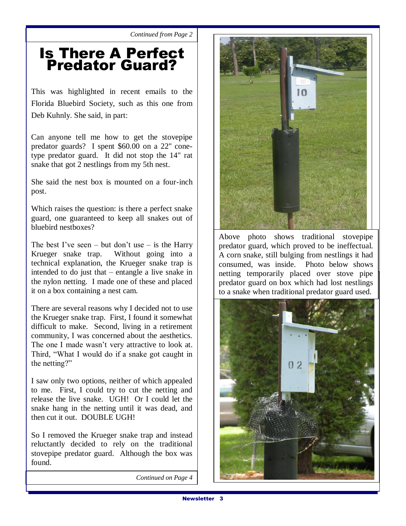*Continued from Page 2*

#### Is There A Perfect Predator Guard?

This was highlighted in recent emails to the Florida Bluebird Society, such as this one from Deb Kuhnly. She said, in part:

Can anyone tell me how to get the stovepipe predator guards? I spent \$60.00 on a 22'' conetype predator guard. It did not stop the 14" rat snake that got 2 nestlings from my 5th nest.

She said the nest box is mounted on a four-inch post.

Which raises the question: is there a perfect snake guard, one guaranteed to keep all snakes out of bluebird nestboxes?

The best I've seen – but don't use – is the Harry Krueger snake trap. Without going into a technical explanation, the Krueger snake trap is intended to do just that – entangle a live snake in the nylon netting. I made one of these and placed it on a box containing a nest cam.

There are several reasons why I decided not to use the Krueger snake trap. First, I found it somewhat difficult to make. Second, living in a retirement community, I was concerned about the aesthetics. The one I made wasn't very attractive to look at. Third, "What I would do if a snake got caught in the netting?"

I saw only two options, neither of which appealed to me. First, I could try to cut the netting and release the live snake. UGH! Or I could let the snake hang in the netting until it was dead, and then cut it out. DOUBLE UGH!

So I removed the Krueger snake trap and instead reluctantly decided to rely on the traditional stovepipe predator guard. Although the box was found.

*Continued on Page 4*



Above photo shows traditional stovepipe predator guard, which proved to be ineffectual. A corn snake, still bulging from nestlings it had consumed, was inside. Photo below shows netting temporarily placed over stove pipe predator guard on box which had lost nestlings to a snake when traditional predator guard used.

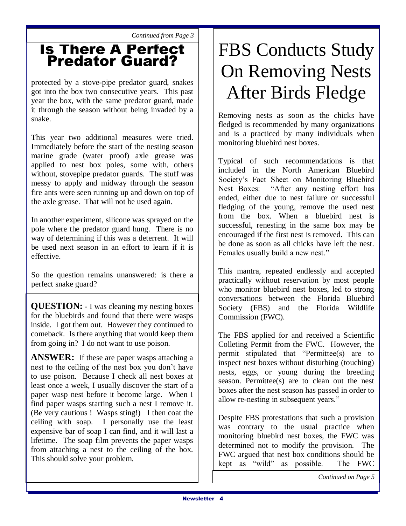*Continued from Page 3*

#### Is There A Perfect Predator Guard?

protected by a stove-pipe predator guard, snakes got into the box two consecutive years. This past year the box, with the same predator guard, made it through the season without being invaded by a snake.

This year two additional measures were tried. Immediately before the start of the nesting season marine grade (water proof) axle grease was applied to nest box poles, some with, others without, stovepipe predator guards. The stuff was messy to apply and midway through the season fire ants were seen running up and down on top of the axle grease. That will not be used again.

In another experiment, silicone was sprayed on the pole where the predator guard hung. There is no way of determining if this was a deterrent. It will be used next season in an effort to learn if it is effective.

So the question remains unanswered: is there a perfect snake guard?

**QUESTION:** - I was cleaning my nesting boxes for the bluebirds and found that there were wasps inside. I got them out. However they continued to comeback. Is there anything that would keep them from going in? I do not want to use poison.

**ANSWER:** If these are paper wasps attaching a nest to the ceiling of the nest box you don't have to use poison. Because I check all nest boxes at least once a week, I usually discover the start of a paper wasp nest before it become large. When I find paper wasps starting such a nest I remove it. (Be very cautious ! Wasps sting!) I then coat the ceiling with soap. I personally use the least expensive bar of soap I can find, and it will last a lifetime. The soap film prevents the paper wasps from attaching a nest to the ceiling of the box. This should solve your problem.

## FBS Conducts Study On Removing Nests After Birds Fledge

Removing nests as soon as the chicks have fledged is recommended by many organizations and is a practiced by many individuals when monitoring bluebird nest boxes.

Typical of such recommendations is that included in the North American Bluebird Society's Fact Sheet on Monitoring Bluebird Nest Boxes: "After any nesting effort has ended, either due to nest failure or successful fledging of the young, remove the used nest from the box. When a bluebird nest is successful, renesting in the same box may be encouraged if the first nest is removed. This can be done as soon as all chicks have left the nest. Females usually build a new nest."

This mantra, repeated endlessly and accepted practically without reservation by most people who monitor bluebird nest boxes, led to strong conversations between the Florida Bluebird Society (FBS) and the Florida Wildlife Commission (FWC).

The FBS applied for and received a Scientific Colleting Permit from the FWC. However, the permit stipulated that "Permittee(s) are to inspect nest boxes without disturbing (touching) nests, eggs, or young during the breeding season. Permittee(s) are to clean out the nest boxes after the nest season has passed in order to allow re-nesting in subsequent years."

Despite FBS protestations that such a provision was contrary to the usual practice when monitoring bluebird nest boxes, the FWC was determined not to modify the provision. The FWC argued that nest box conditions should be kept as "wild" as possible. The FWC

*Continued on Page 5*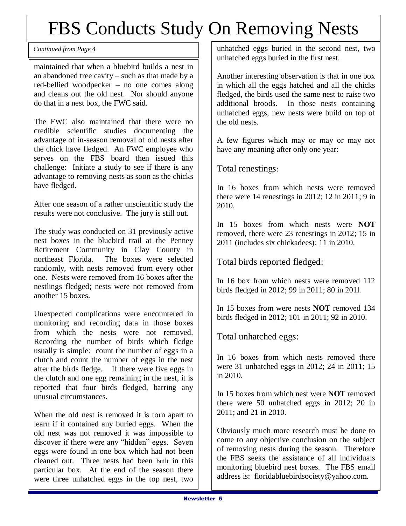### FBS Conducts Study On Removing Nests

maintained that when a bluebird builds a nest in an abandoned tree cavity – such as that made by a red-bellied woodpecker – no one comes along and cleans out the old nest. Nor should anyone do that in a nest box, the FWC said.

The FWC also maintained that there were no credible scientific studies documenting the advantage of in-season removal of old nests after the chick have fledged. An FWC employee who serves on the FBS board then issued this challenge: Initiate a study to see if there is any advantage to removing nests as soon as the chicks have fledged.

After one season of a rather unscientific study the results were not conclusive. The jury is still out.

The study was conducted on 31 previously active nest boxes in the bluebird trail at the Penney Retirement Community in Clay County in northeast Florida. The boxes were selected randomly, with nests removed from every other one. Nests were removed from 16 boxes after the nestlings fledged; nests were not removed from another 15 boxes.

Unexpected complications were encountered in monitoring and recording data in those boxes from which the nests were not removed. Recording the number of birds which fledge usually is simple: count the number of eggs in a clutch and count the number of eggs in the nest after the birds fledge. If there were five eggs in the clutch and one egg remaining in the nest, it is reported that four birds fledged, barring any unusual circumstances.

When the old nest is removed it is torn apart to learn if it contained any buried eggs. When the old nest was not removed it was impossible to discover if there were any "hidden" eggs. Seven eggs were found in one box which had not been cleaned out. Three nests had been built in this particular box. At the end of the season there were three unhatched eggs in the top nest, two

*Continued from Page 4* and **1** unhatched eggs buried in the second nest, two unhatched eggs buried in the first nest.

> Another interesting observation is that in one box in which all the eggs hatched and all the chicks fledged, the birds used the same nest to raise two additional broods. In those nests containing unhatched eggs, new nests were build on top of the old nests.

> A few figures which may or may or may not have any meaning after only one year:

Total renestings:

In 16 boxes from which nests were removed there were 14 renestings in 2012; 12 in 2011; 9 in 2010.

In 15 boxes from which nests were **NOT** removed, there were 23 renestings in 2012; 15 in 2011 (includes six chickadees); 11 in 2010.

Total birds reported fledged:

In 16 box from which nests were removed 112 birds fledged in 2012; 99 in 2011; 80 in 201l.

In 15 boxes from were nests **NOT** removed 134 birds fledged in 2012; 101 in 2011; 92 in 2010.

Total unhatched eggs:

In 16 boxes from which nests removed there were 31 unhatched eggs in 2012; 24 in 2011; 15 in 2010.

In 15 boxes from which nest were **NOT** removed there were 50 unhatched eggs in 2012; 20 in 2011; and 21 in 2010.

Obviously much more research must be done to come to any objective conclusion on the subject of removing nests during the season. Therefore the FBS seeks the assistance of all individuals monitoring bluebird nest boxes. The FBS email address is: floridabluebirdsociety@yahoo.com.